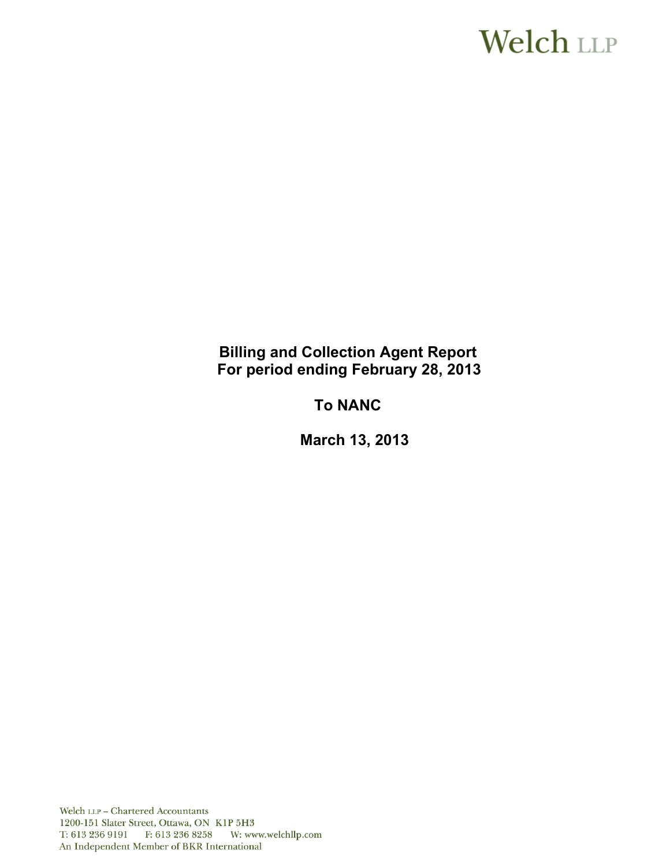# **Welch LLP**

# **Billing and Collection Agent Report For period ending February 28, 2013**

# **To NANC**

 **March 13, 2013**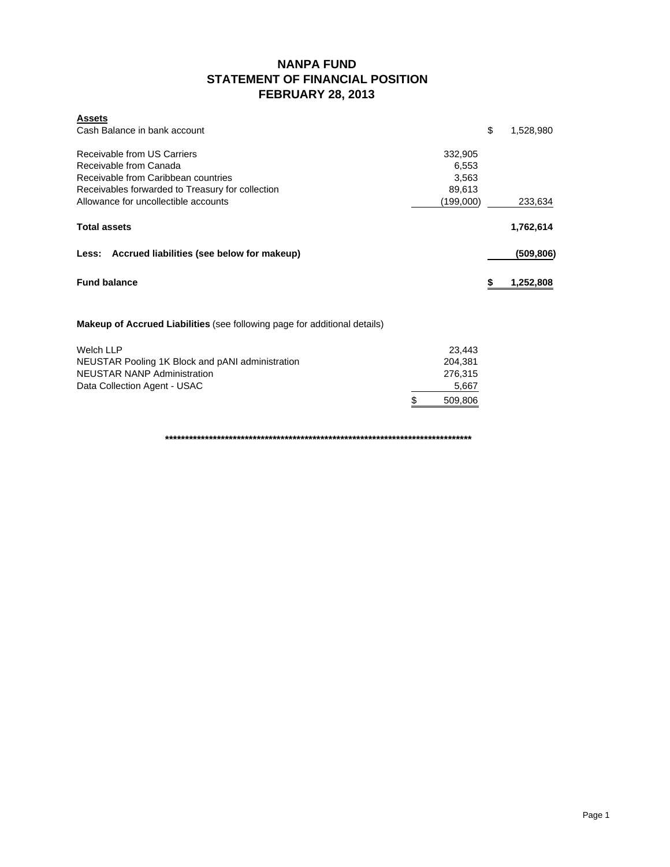### **NANPA FUND STATEMENT OF FINANCIAL POSITION FEBRUARY 28, 2013**

| <b>Assets</b><br>Cash Balance in bank account                                    |                     | \$ | 1,528,980  |
|----------------------------------------------------------------------------------|---------------------|----|------------|
| Receivable from US Carriers                                                      | 332,905             |    |            |
| Receivable from Canada                                                           | 6,553               |    |            |
| Receivable from Caribbean countries                                              | 3,563               |    |            |
| Receivables forwarded to Treasury for collection                                 |                     |    |            |
| Allowance for uncollectible accounts                                             | 89,613<br>(199,000) |    | 233,634    |
| <b>Total assets</b>                                                              |                     |    | 1,762,614  |
| Less: Accrued liabilities (see below for makeup)                                 |                     |    | (509, 806) |
| <b>Fund balance</b>                                                              |                     | S  | 1,252,808  |
| <b>Makeup of Accrued Liabilities</b> (see following page for additional details) |                     |    |            |
|                                                                                  |                     |    |            |

| Welch LLP                                        |    | 23.443  |
|--------------------------------------------------|----|---------|
| NEUSTAR Pooling 1K Block and pANI administration |    | 204.381 |
| NEUSTAR NANP Administration                      |    | 276.315 |
| Data Collection Agent - USAC                     |    | 5,667   |
|                                                  | -S | 509.806 |

**\*\*\*\*\*\*\*\*\*\*\*\*\*\*\*\*\*\*\*\*\*\*\*\*\*\*\*\*\*\*\*\*\*\*\*\*\*\*\*\*\*\*\*\*\*\*\*\*\*\*\*\*\*\*\*\*\*\*\*\*\*\*\*\*\*\*\*\*\*\*\*\*\*\*\*\*\***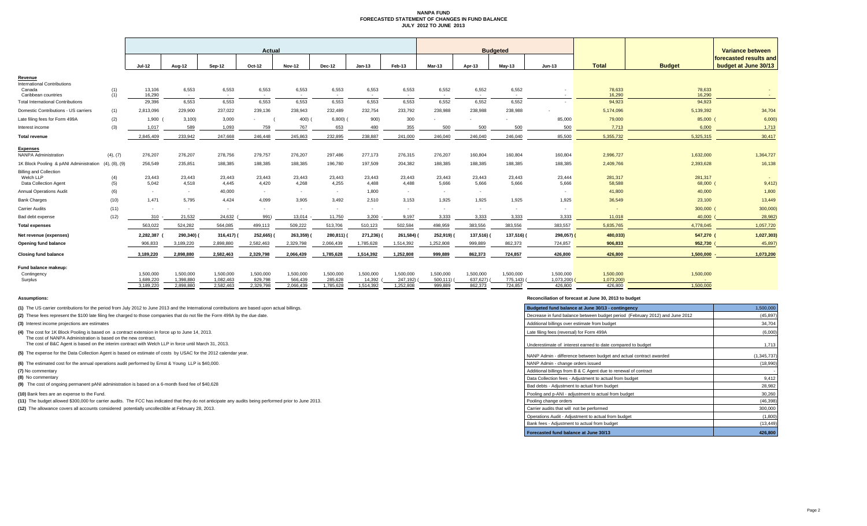#### **NANPA FUND FORECASTED STATEMENT OF CHANGES IN FUND BALANCE JULY 2012 TO JUNE 2013**

|                                                                     |               | <b>Actual</b>          |                        |                        |                      |                      |                      |                     |                       | <b>Budgeted</b>       |                       |                          |                         |                         |                     | Variance between                               |  |
|---------------------------------------------------------------------|---------------|------------------------|------------------------|------------------------|----------------------|----------------------|----------------------|---------------------|-----------------------|-----------------------|-----------------------|--------------------------|-------------------------|-------------------------|---------------------|------------------------------------------------|--|
|                                                                     |               | <b>Jul-12</b>          | Aug-12                 | Sep-12                 | Oct-12               | <b>Nov-12</b>        | Dec-12               | $Jan-13$            | Feb-13                | Mar-13                | Apr-13                | May-13                   | <b>Jun-13</b>           | <b>Total</b>            | <b>Budget</b>       | forecasted results and<br>budget at June 30/13 |  |
| Revenue<br>International Contributions<br>Canada                    | (1)           | 13,106<br>16.290       | 6,553                  | 6,553                  | 6,553                | 6,553                | 6,553                | 6,553               | 6,553                 | 6,552                 | 6,552                 | 6,552                    |                         | 78,633<br>16.290        | 78,633              |                                                |  |
| Caribbean countries<br><b>Total International Contributions</b>     | (1)           | 29,396                 | $\sim$<br>6,553        | $\sim$<br>6,553        | $\sim$<br>6,553      | $\sim$<br>6,553      | $\sim$<br>6,553      | $\sim$<br>6,553     | $\sim$<br>6,553       | $\sim$<br>6,552       | $\sim$<br>6,552       | $\sim$<br>6,552          |                         | 94,923                  | 16,290<br>94,923    | <b>Contract</b>                                |  |
| Domestic Contributions - US carriers                                | (1)           | 2,813,096              | 229,900                | 237,022                | 239,136              | 238,943              | 232,489              | 232,754             | 233,792               | 238,988               | 238,988               | 238,988                  |                         | 5,174,096               | 5,139,392           | 34,704                                         |  |
| Late filing fees for Form 499A                                      | (2)           | $1,900$ (              | 3,100                  | 3,000                  |                      | 400)                 | 6,800                | 900)                | 300                   |                       |                       |                          | 85,000                  | 79,000                  | 85,000 (            | 6,000                                          |  |
| Interest income                                                     | (3)           | 1.017                  | 589                    | 1,093                  | 759                  | 767                  | 653                  | 480                 | 355                   | 500                   | 500                   | 500                      | 500                     | 7,713                   | 6,000               | 1,713                                          |  |
| <b>Total revenue</b>                                                |               | 2,845,409              | 233,942                | 247,668                | 246,448              | 245,863              | 232,895              | 238,887             | 241,000               | 246,040               | 246,040               | 246,040                  | 85,500                  | 5,355,732               | 5,325,315           | 30,417                                         |  |
| <b>Expenses</b><br><b>NANPA Administration</b>                      | (4), (7)      | 276,207                | 276,207                | 278,756                | 279,757              | 276,207              | 297,486              | 277,173             | 276,315               | 276,207               | 160,804               | 160,804                  | 160,804                 | 2,996,727               | 1,632,000           | 1,364,727                                      |  |
| 1K Block Pooling & pANI Administration                              | (4), (8), (9) | 256,549                | 235,851                | 188,385                | 188,385              | 188,385              | 196,780              | 197,509             | 204,382               | 188,385               | 188,385               | 188,385                  | 188,385                 | 2,409,766               | 2,393,628           | 16,138                                         |  |
| <b>Billing and Collection</b><br>Welch LLP<br>Data Collection Agent | (4)<br>(5)    | 23,443<br>5,042        | 23,443<br>4,518        | 23,443<br>4,445        | 23,443<br>4,420      | 23.443<br>4,268      | 23,443<br>4,255      | 23,443<br>4,488     | 23,443<br>4,488       | 23,443<br>5,666       | 23,443<br>5,666       | 23.443<br>5,666          | 23,444<br>5,666         | 281,317<br>58,588       | 281,317<br>68,000 ( | 9,412)                                         |  |
| <b>Annual Operations Audit</b>                                      | (6)           | <b>COL</b>             | $\sim$                 | 40,000                 | $\sim$               | $\sim$               | $\sim$               | 1,800               | $\sim$                | ٠.                    | $\sim$                |                          |                         | 41,800                  | 40,000              | 1,800                                          |  |
| <b>Bank Charges</b>                                                 | (10)          | 1.471                  | 5,795                  | 4,424                  | 4,099                | 3,905                | 3,492                | 2,510               | 3,153                 | 1,925                 | 1,925                 | 1,925                    | 1,925                   | 36,549                  | 23,100              | 13,449                                         |  |
| <b>Carrier Audits</b>                                               | (11)          | <b>COL</b>             |                        | $\sim$                 | ۰.                   |                      | $\sim$               |                     | $\sim$                | ٠                     | $\sim$                | $\overline{\phantom{a}}$ |                         |                         | 300,000 (           | 300,000                                        |  |
| Bad debt expense                                                    | (12)          | $310 -$                | 21,532                 | 24,632                 | 991)                 | 13,014               | 11,750               | 3,200               | 9,197                 | 3,333                 | 3,333                 | 3,333                    | 3,333                   | 11,018                  | 40,000              | 28,982                                         |  |
| <b>Total expenses</b>                                               |               | 563.022                | 524.282                | 564,085                | 499.113              | 509.222              | 513,706              | 510,123             | 502,584               | 498,959               | 383,556               | 383.556                  | 383.557                 | 5.835.765               | 4,778,045           | 1,057,720                                      |  |
| Net revenue (expenses)                                              |               | 2,282,387              | 290,340)               | 316,417)               | 252,665) (           | 263,359)             | 280,811)             | 271,236)            | 261,584)              | 252,919)              | 137,516)              | 137,516) (               | 298,057)                | 480,033)                | 547,270 (           | 1,027,303                                      |  |
| Opening fund balance                                                |               | 906,833                | 3,189,220              | 2,898,880              | 2,582,463            | 2,329,798            | 2,066,439            | 1,785,628           | 1,514,392             | 1,252,808             | 999,889               | 862,373                  | 724,857                 | 906,833                 | 952,730             | 45,897                                         |  |
| <b>Closing fund balance</b>                                         |               | 3,189,220              | 2,898,880              | 2,582,463              | 2,329,798            | 2,066,439            | 1,785,628            | 1,514,392           | 1,252,808             | 999,889               | 862,373               | 724,857                  | 426,800                 | 426,800                 | 1,500,000           | 1,073,200                                      |  |
| Fund balance makeup:<br>Contingency<br>Surplus                      |               | 1.500.000<br>1,689,220 | 1,500,000<br>1,398,880 | 1,500,000<br>1,082,463 | 1,500,000<br>829,798 | 1,500,000<br>566,439 | 1,500,000<br>285,628 | 1,500,000<br>14,392 | 1,500,000<br>247,192) | 1,500,000<br>500,111) | 1,500,000<br>637,627) | 1,500,000<br>775,143)    | 1,500,000<br>1,073,200) | 1,500,000<br>1,073,200) | 1,500,000<br>$\sim$ |                                                |  |
|                                                                     |               | 3.189.220              | 2.898.880              | 2,582,463              | 2.329.798            | 2.066.439            | 1.785.628            | 1,514,392           | 1,252,808             | 999,889               | 862.373               | 724,857                  | 426,800                 | 426,800                 | 1.500.000           |                                                |  |

**(8)** No commentary

#### **Assumptions: Reconciliation of forecast at June 30, 2013 to budget**

| (1) The US carrier contributions for the period from July 2012 to June 2013 and the International contributions are based upon actual billings.                    | Budgeted fund balance at June 30/13 - contingency                            | 1,500,000     |
|--------------------------------------------------------------------------------------------------------------------------------------------------------------------|------------------------------------------------------------------------------|---------------|
| (2) These fees represent the \$100 late filing fee charged to those companies that do not file the Form 499A by the due date.                                      | Decrease in fund balance between budget period (February 2012) and June 2012 | (45, 897)     |
| (3) Interest income projections are estimates                                                                                                                      | Additional billings over estimate from budget                                | 34,704        |
| (4) The cost for 1K Block Pooling is based on a contract extension in force up to June 14, 2013.<br>The cost of NANPA Administration is based on the new contract. | Late filing fees (reversal) for Form 499A                                    | (6,000)       |
| The cost of B&C Agent is based on the interim contract with Welch LLP in force until March 31, 2013.                                                               | Underestimate of interest earned to date compared to budget                  | 1,713         |
| (5) The expense for the Data Collection Agent is based on estimate of costs by USAC for the 2012 calendar year.                                                    | NANP Admin - difference between budget and actual contract awarded           | (1, 345, 737) |
| (6) The estimated cost for the annual operations audit performed by Ernst & Young LLP is \$40,000.                                                                 | NANP Admin - change orders issued                                            | (18,990)      |
| (7) No commentary                                                                                                                                                  | Additional billings from B & C Agent due to renewal of contract              |               |
| (8) No commentary                                                                                                                                                  | Data Collection fees - Adjustment to actual from budget                      | 9,412         |
| (9) The cost of ongoing permanent pANI administration is based on a 6-month fixed fee of \$40,628                                                                  | Bad debts - Adjustment to actual from budget                                 | 28,982        |
| (10) Bank fees are an expense to the Fund.                                                                                                                         | Pooling and p-ANI - adjustment to actual from budget                         | 30,260        |
| (11) The budget allowed \$300,000 for carrier audits. The FCC has indicated that they do not anticipate any audits being performed prior to June 2013.             | Pooling change orders                                                        | (46, 398)     |
| (12) The allowance covers all accounts considered potentially uncollectible at February 28, 2013.                                                                  | Carrier audits that will not be performed                                    | 300,000       |
|                                                                                                                                                                    | Operations Audit - Adjustment to actual from budget                          | (1,800)       |
|                                                                                                                                                                    | Bank fees - Adjustment to actual from budget                                 | (13, 449)     |
|                                                                                                                                                                    | Forecasted fund balance at June 30/13                                        | 426.800       |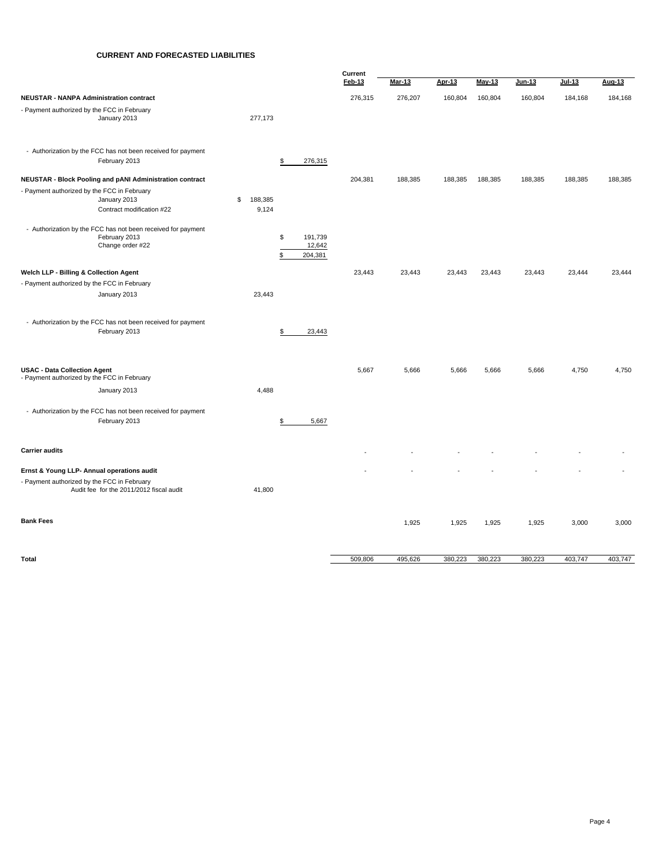#### **CURRENT AND FORECASTED LIABILITIES**

|                                                                                    |                                                                                                   |                        |                                          | Current |         |         |         |         |         |         |
|------------------------------------------------------------------------------------|---------------------------------------------------------------------------------------------------|------------------------|------------------------------------------|---------|---------|---------|---------|---------|---------|---------|
|                                                                                    |                                                                                                   |                        |                                          | Feb-13  | Mar-13  | Apr-13  | May-13  | Jun-13  | Jul-13  | Aug-13  |
| <b>NEUSTAR - NANPA Administration contract</b>                                     |                                                                                                   |                        |                                          | 276,315 | 276,207 | 160,804 | 160,804 | 160,804 | 184,168 | 184,168 |
| - Payment authorized by the FCC in February                                        | January 2013                                                                                      | 277,173                |                                          |         |         |         |         |         |         |         |
|                                                                                    | - Authorization by the FCC has not been received for payment<br>February 2013                     |                        | \$<br>276,315                            |         |         |         |         |         |         |         |
|                                                                                    | NEUSTAR - Block Pooling and pANI Administration contract                                          |                        |                                          | 204,381 | 188,385 | 188,385 | 188,385 | 188,385 | 188,385 | 188,385 |
| - Payment authorized by the FCC in February                                        | January 2013<br>Contract modification #22                                                         | \$<br>188,385<br>9,124 |                                          |         |         |         |         |         |         |         |
|                                                                                    | - Authorization by the FCC has not been received for payment<br>February 2013<br>Change order #22 |                        | 191,739<br>\$<br>12,642<br>\$<br>204,381 |         |         |         |         |         |         |         |
| Welch LLP - Billing & Collection Agent                                             |                                                                                                   |                        |                                          | 23,443  | 23,443  | 23,443  | 23,443  | 23,443  | 23,444  | 23,444  |
| - Payment authorized by the FCC in February                                        |                                                                                                   |                        |                                          |         |         |         |         |         |         |         |
|                                                                                    | January 2013                                                                                      | 23,443                 |                                          |         |         |         |         |         |         |         |
|                                                                                    | - Authorization by the FCC has not been received for payment<br>February 2013                     |                        | \$<br>23,443                             |         |         |         |         |         |         |         |
| <b>USAC - Data Collection Agent</b><br>- Payment authorized by the FCC in February |                                                                                                   |                        |                                          | 5,667   | 5,666   | 5,666   | 5,666   | 5,666   | 4,750   | 4,750   |
|                                                                                    | January 2013                                                                                      | 4,488                  |                                          |         |         |         |         |         |         |         |
|                                                                                    | - Authorization by the FCC has not been received for payment<br>February 2013                     |                        | \$<br>5,667                              |         |         |         |         |         |         |         |
| <b>Carrier audits</b>                                                              |                                                                                                   |                        |                                          |         |         |         |         |         |         |         |
| Ernst & Young LLP- Annual operations audit                                         |                                                                                                   |                        |                                          |         |         |         |         |         |         |         |
| - Payment authorized by the FCC in February                                        | Audit fee for the 2011/2012 fiscal audit                                                          | 41,800                 |                                          |         |         |         |         |         |         |         |
| <b>Bank Fees</b>                                                                   |                                                                                                   |                        |                                          |         | 1,925   | 1,925   | 1,925   | 1,925   | 3,000   | 3,000   |
| Total                                                                              |                                                                                                   |                        |                                          | 509,806 | 495,626 | 380,223 | 380,223 | 380,223 | 403,747 | 403,747 |